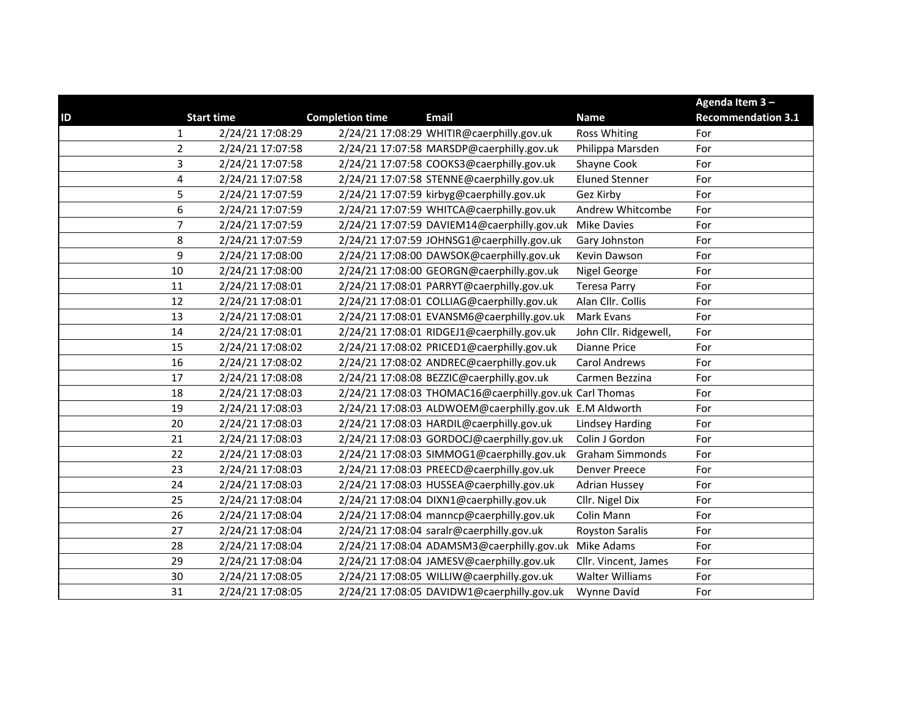|                  |                   |                        |                                                         |                        | Agenda Item 3-            |
|------------------|-------------------|------------------------|---------------------------------------------------------|------------------------|---------------------------|
| ID               | <b>Start time</b> | <b>Completion time</b> | <b>Email</b>                                            | <b>Name</b>            | <b>Recommendation 3.1</b> |
| 1                | 2/24/21 17:08:29  |                        | 2/24/21 17:08:29 WHITIR@caerphilly.gov.uk               | <b>Ross Whiting</b>    | For                       |
| $\overline{2}$   | 2/24/21 17:07:58  |                        | 2/24/21 17:07:58 MARSDP@caerphilly.gov.uk               | Philippa Marsden       | For                       |
| 3                | 2/24/21 17:07:58  |                        | 2/24/21 17:07:58 COOKS3@caerphilly.gov.uk               | Shayne Cook            | For                       |
| 4                | 2/24/21 17:07:58  |                        | 2/24/21 17:07:58 STENNE@caerphilly.gov.uk               | <b>Eluned Stenner</b>  | For                       |
| 5                | 2/24/21 17:07:59  |                        | 2/24/21 17:07:59 kirbyg@caerphilly.gov.uk               | Gez Kirby              | For                       |
| $\boldsymbol{6}$ | 2/24/21 17:07:59  |                        | 2/24/21 17:07:59 WHITCA@caerphilly.gov.uk               | Andrew Whitcombe       | For                       |
| $\overline{7}$   | 2/24/21 17:07:59  |                        | 2/24/21 17:07:59 DAVIEM14@caerphilly.gov.uk             | <b>Mike Davies</b>     | For                       |
| 8                | 2/24/21 17:07:59  |                        | 2/24/21 17:07:59 JOHNSG1@caerphilly.gov.uk              | Gary Johnston          | For                       |
| 9                | 2/24/21 17:08:00  |                        | 2/24/21 17:08:00 DAWSOK@caerphilly.gov.uk               | Kevin Dawson           | For                       |
| 10               | 2/24/21 17:08:00  |                        | 2/24/21 17:08:00 GEORGN@caerphilly.gov.uk               | Nigel George           | For                       |
| $11\,$           | 2/24/21 17:08:01  |                        | 2/24/21 17:08:01 PARRYT@caerphilly.gov.uk               | <b>Teresa Parry</b>    | For                       |
| 12               | 2/24/21 17:08:01  |                        | 2/24/21 17:08:01 COLLIAG@caerphilly.gov.uk              | Alan Cllr. Collis      | For                       |
| 13               | 2/24/21 17:08:01  |                        | 2/24/21 17:08:01 EVANSM6@caerphilly.gov.uk              | Mark Evans             | For                       |
| 14               | 2/24/21 17:08:01  |                        | 2/24/21 17:08:01 RIDGEJ1@caerphilly.gov.uk              | John Cllr. Ridgewell,  | For                       |
| 15               | 2/24/21 17:08:02  |                        | 2/24/21 17:08:02 PRICED1@caerphilly.gov.uk              | Dianne Price           | For                       |
| 16               | 2/24/21 17:08:02  |                        | 2/24/21 17:08:02 ANDREC@caerphilly.gov.uk               | <b>Carol Andrews</b>   | For                       |
| 17               | 2/24/21 17:08:08  |                        | 2/24/21 17:08:08 BEZZIC@caerphilly.gov.uk               | Carmen Bezzina         | For                       |
| 18               | 2/24/21 17:08:03  |                        | 2/24/21 17:08:03 THOMAC16@caerphilly.gov.uk Carl Thomas |                        | For                       |
| 19               | 2/24/21 17:08:03  |                        | 2/24/21 17:08:03 ALDWOEM@caerphilly.gov.uk E.M Aldworth |                        | For                       |
| 20               | 2/24/21 17:08:03  |                        | 2/24/21 17:08:03 HARDIL@caerphilly.gov.uk               | <b>Lindsey Harding</b> | For                       |
| 21               | 2/24/21 17:08:03  |                        | 2/24/21 17:08:03 GORDOCJ@caerphilly.gov.uk              | Colin J Gordon         | For                       |
| 22               | 2/24/21 17:08:03  |                        | 2/24/21 17:08:03 SIMMOG1@caerphilly.gov.uk              | <b>Graham Simmonds</b> | For                       |
| 23               | 2/24/21 17:08:03  |                        | 2/24/21 17:08:03 PREECD@caerphilly.gov.uk               | <b>Denver Preece</b>   | For                       |
| 24               | 2/24/21 17:08:03  |                        | 2/24/21 17:08:03 HUSSEA@caerphilly.gov.uk               | <b>Adrian Hussey</b>   | For                       |
| 25               | 2/24/21 17:08:04  |                        | 2/24/21 17:08:04 DIXN1@caerphilly.gov.uk                | Cllr. Nigel Dix        | For                       |
| 26               | 2/24/21 17:08:04  |                        | 2/24/21 17:08:04 manncp@caerphilly.gov.uk               | Colin Mann             | For                       |
| 27               | 2/24/21 17:08:04  |                        | 2/24/21 17:08:04 saralr@caerphilly.gov.uk               | <b>Royston Saralis</b> | For                       |
| 28               | 2/24/21 17:08:04  |                        | 2/24/21 17:08:04 ADAMSM3@caerphilly.gov.uk Mike Adams   |                        | For                       |
| 29               | 2/24/21 17:08:04  |                        | 2/24/21 17:08:04 JAMESV@caerphilly.gov.uk               | Cllr. Vincent, James   | For                       |
| 30               | 2/24/21 17:08:05  |                        | 2/24/21 17:08:05 WILLIW@caerphilly.gov.uk               | <b>Walter Williams</b> | For                       |
| 31               | 2/24/21 17:08:05  |                        | 2/24/21 17:08:05 DAVIDW1@caerphilly.gov.uk              | <b>Wynne David</b>     | For                       |